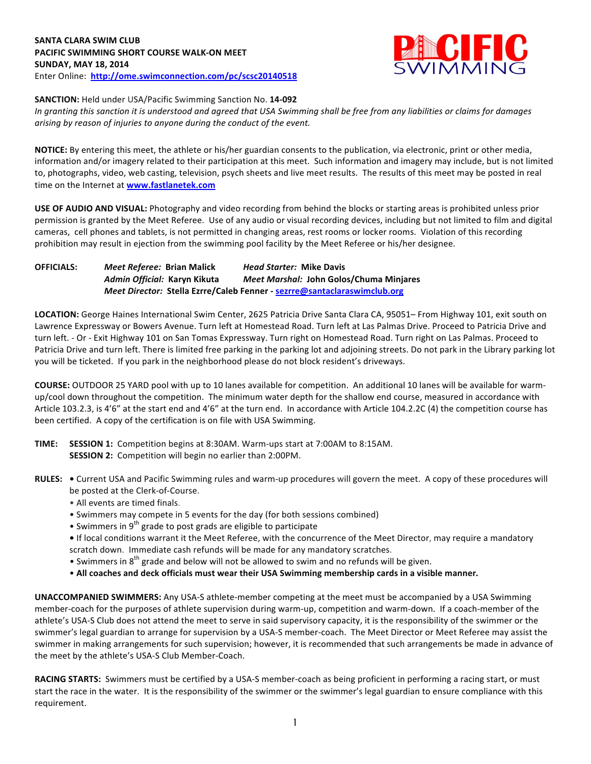

**SANCTION:** Held under USA/Pacific Swimming Sanction No. 14-092

In granting this sanction it is understood and agreed that USA Swimming shall be free from any liabilities or claims for damages arising by reason of injuries to anyone during the conduct of the event.

**NOTICE:** By entering this meet, the athlete or his/her guardian consents to the publication, via electronic, print or other media, information and/or imagery related to their participation at this meet. Such information and imagery may include, but is not limited to, photographs, video, web casting, television, psych sheets and live meet results. The results of this meet may be posted in real time on the Internet at **www.fastlanetek.com** 

**USE OF AUDIO AND VISUAL:** Photography and video recording from behind the blocks or starting areas is prohibited unless prior permission is granted by the Meet Referee. Use of any audio or visual recording devices, including but not limited to film and digital cameras, cell phones and tablets, is not permitted in changing areas, rest rooms or locker rooms. Violation of this recording prohibition may result in ejection from the swimming pool facility by the Meet Referee or his/her designee.

**OFFICIALS:** Meet Referee: Brian Malick *Head Starter:* Mike Davis *Admin Official:* **Karyn Kikuta** *Meet Marshal:* **John Golos/Chuma Minjares** *Meet Director:*  **Stella Ezrre/Caleb Fenner - sezrre@santaclaraswimclub.org**

LOCATION: George Haines International Swim Center, 2625 Patricia Drive Santa Clara CA, 95051– From Highway 101, exit south on Lawrence Expressway or Bowers Avenue. Turn left at Homestead Road. Turn left at Las Palmas Drive. Proceed to Patricia Drive and turn left. - Or - Exit Highway 101 on San Tomas Expressway. Turn right on Homestead Road. Turn right on Las Palmas. Proceed to Patricia Drive and turn left. There is limited free parking in the parking lot and adjoining streets. Do not park in the Library parking lot you will be ticketed. If you park in the neighborhood please do not block resident's driveways.

**COURSE:** OUTDOOR 25 YARD pool with up to 10 lanes available for competition. An additional 10 lanes will be available for warmup/cool down throughout the competition. The minimum water depth for the shallow end course, measured in accordance with Article 103.2.3, is 4'6" at the start end and 4'6" at the turn end. In accordance with Article 104.2.2C (4) the competition course has been certified. A copy of the certification is on file with USA Swimming.

- **TIME:** SESSION 1: Competition begins at 8:30AM. Warm-ups start at 7:00AM to 8:15AM. **SESSION 2:** Competition will begin no earlier than 2:00PM.
- RULES: . Current USA and Pacific Swimming rules and warm-up procedures will govern the meet. A copy of these procedures will be posted at the Clerk-of-Course.
	- All events are timed finals.
	- Swimmers may compete in 5 events for the day (for both sessions combined)
	- Swimmers in 9<sup>th</sup> grade to post grads are eligible to participate
	- If local conditions warrant it the Meet Referee, with the concurrence of the Meet Director, may require a mandatory scratch down. Immediate cash refunds will be made for any mandatory scratches.
	- Swimmers in  $8<sup>th</sup>$  grade and below will not be allowed to swim and no refunds will be given.
	- All coaches and deck officials must wear their USA Swimming membership cards in a visible manner.

**UNACCOMPANIED SWIMMERS:** Any USA-S athlete-member competing at the meet must be accompanied by a USA Swimming member-coach for the purposes of athlete supervision during warm-up, competition and warm-down. If a coach-member of the athlete's USA-S Club does not attend the meet to serve in said supervisory capacity, it is the responsibility of the swimmer or the swimmer's legal guardian to arrange for supervision by a USA-S member-coach. The Meet Director or Meet Referee may assist the swimmer in making arrangements for such supervision; however, it is recommended that such arrangements be made in advance of the meet by the athlete's USA-S Club Member-Coach.

RACING STARTS: Swimmers must be certified by a USA-S member-coach as being proficient in performing a racing start, or must start the race in the water. It is the responsibility of the swimmer or the swimmer's legal guardian to ensure compliance with this requirement.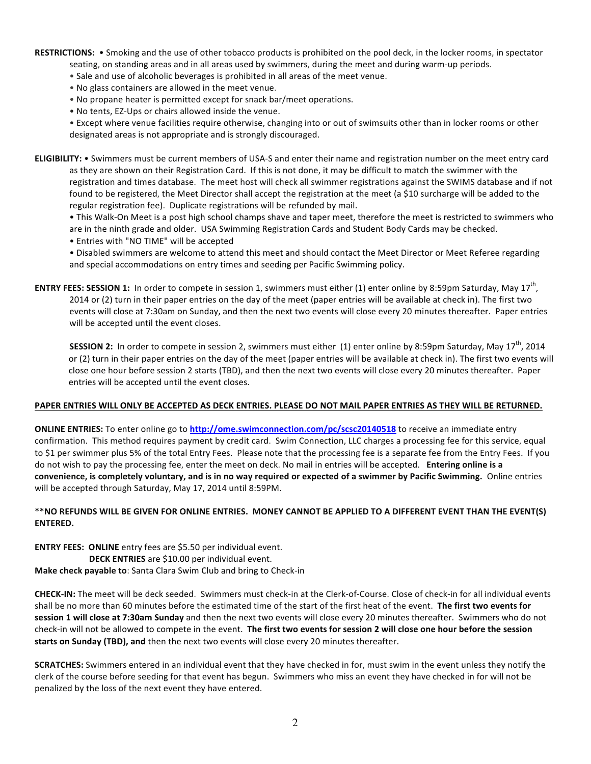RESTRICTIONS: . Smoking and the use of other tobacco products is prohibited on the pool deck, in the locker rooms, in spectator seating, on standing areas and in all areas used by swimmers, during the meet and during warm-up periods.

- Sale and use of alcoholic beverages is prohibited in all areas of the meet venue.
- No glass containers are allowed in the meet venue.
- No propane heater is permitted except for snack bar/meet operations.
- No tents, EZ-Ups or chairs allowed inside the venue.

• Except where venue facilities require otherwise, changing into or out of swimsuits other than in locker rooms or other designated areas is not appropriate and is strongly discouraged.

**ELIGIBILITY:** • Swimmers must be current members of USA-S and enter their name and registration number on the meet entry card as they are shown on their Registration Card. If this is not done, it may be difficult to match the swimmer with the registration and times database. The meet host will check all swimmer registrations against the SWIMS database and if not found to be registered, the Meet Director shall accept the registration at the meet (a \$10 surcharge will be added to the regular registration fee). Duplicate registrations will be refunded by mail.

• This Walk-On Meet is a post high school champs shave and taper meet, therefore the meet is restricted to swimmers who are in the ninth grade and older. USA Swimming Registration Cards and Student Body Cards may be checked.

• Entries with "NO TIME" will be accepted

• Disabled swimmers are welcome to attend this meet and should contact the Meet Director or Meet Referee regarding and special accommodations on entry times and seeding per Pacific Swimming policy.

**ENTRY FEES: SESSION 1:** In order to compete in session 1, swimmers must either (1) enter online by 8:59pm Saturday, May 17<sup>th</sup>, 2014 or (2) turn in their paper entries on the day of the meet (paper entries will be available at check in). The first two events will close at 7:30am on Sunday, and then the next two events will close every 20 minutes thereafter. Paper entries will be accepted until the event closes.

**SESSION 2:** In order to compete in session 2, swimmers must either (1) enter online by 8:59pm Saturday, May 17<sup>th</sup>, 2014 or (2) turn in their paper entries on the day of the meet (paper entries will be available at check in). The first two events will close one hour before session 2 starts (TBD), and then the next two events will close every 20 minutes thereafter. Paper entries will be accepted until the event closes.

## PAPER ENTRIES WILL ONLY BE ACCEPTED AS DECK ENTRIES. PLEASE DO NOT MAIL PAPER ENTRIES AS THEY WILL BE RETURNED.

**ONLINE ENTRIES:** To enter online go to **http://ome.swimconnection.com/pc/scsc20140518** to receive an immediate entry confirmation. This method requires payment by credit card. Swim Connection, LLC charges a processing fee for this service, equal to \$1 per swimmer plus 5% of the total Entry Fees. Please note that the processing fee is a separate fee from the Entry Fees. If you do not wish to pay the processing fee, enter the meet on deck. No mail in entries will be accepted. Entering online is a convenience, is completely voluntary, and is in no way required or expected of a swimmer by Pacific Swimming. Online entries will be accepted through Saturday, May 17, 2014 until 8:59PM.

## \*\*NO REFUNDS WILL BE GIVEN FOR ONLINE ENTRIES. MONEY CANNOT BE APPLIED TO A DIFFERENT EVENT THAN THE EVENT(S) **ENTERED.**

**ENTRY FEES: ONLINE** entry fees are \$5.50 per individual event.

**DECK ENTRIES** are \$10.00 per individual event. **Make check payable to: Santa Clara Swim Club and bring to Check-in** 

**CHECK-IN:** The meet will be deck seeded. Swimmers must check-in at the Clerk-of-Course. Close of check-in for all individual events shall be no more than 60 minutes before the estimated time of the start of the first heat of the event. The first two events for **session 1 will close at 7:30am Sunday** and then the next two events will close every 20 minutes thereafter. Swimmers who do not check-in will not be allowed to compete in the event. The first two events for session 2 will close one hour before the session starts on Sunday (TBD), and then the next two events will close every 20 minutes thereafter.

**SCRATCHES:** Swimmers entered in an individual event that they have checked in for, must swim in the event unless they notify the clerk of the course before seeding for that event has begun. Swimmers who miss an event they have checked in for will not be penalized by the loss of the next event they have entered.